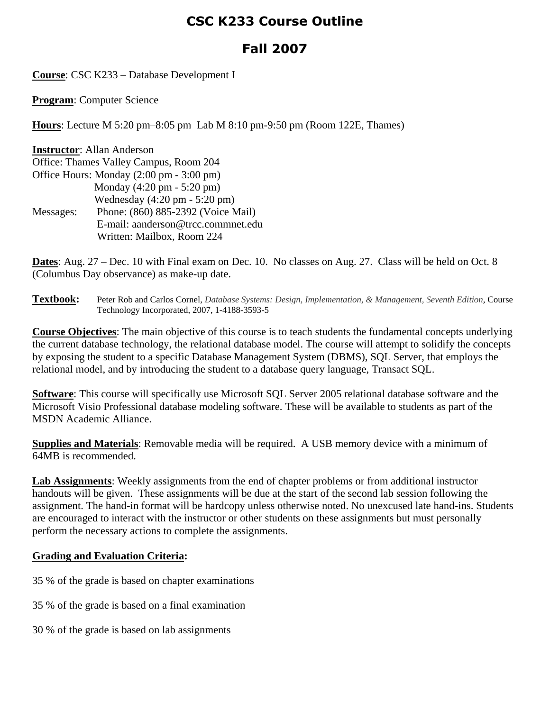## **CSC K233 Course Outline**

## **Fall 2007**

**Course**: CSC K233 – Database Development I

**Program**: Computer Science

**Hours**: Lecture M 5:20 pm–8:05 pm Lab M 8:10 pm-9:50 pm (Room 122E, Thames)

| <b>Instructor:</b> Allan Anderson        |                                                 |  |  |
|------------------------------------------|-------------------------------------------------|--|--|
| Office: Thames Valley Campus, Room 204   |                                                 |  |  |
| Office Hours: Monday (2:00 pm - 3:00 pm) |                                                 |  |  |
|                                          | Monday $(4:20 \text{ pm} - 5:20 \text{ pm})$    |  |  |
|                                          | Wednesday $(4:20 \text{ pm} - 5:20 \text{ pm})$ |  |  |
| Messages:                                | Phone: (860) 885-2392 (Voice Mail)              |  |  |
|                                          | E-mail: aanderson@trcc.commnet.edu              |  |  |
|                                          | Written: Mailbox, Room 224                      |  |  |

**Dates**: Aug. 27 – Dec. 10 with Final exam on Dec. 10. No classes on Aug. 27. Class will be held on Oct. 8 (Columbus Day observance) as make-up date.

**Textbook:** Peter Rob and Carlos Cornel, *Database Systems: Design, Implementation, & Management, Seventh Edition*, Course Technology Incorporated, 2007, 1-4188-3593-5

**Course Objectives**: The main objective of this course is to teach students the fundamental concepts underlying the current database technology, the relational database model. The course will attempt to solidify the concepts by exposing the student to a specific Database Management System (DBMS), SQL Server, that employs the relational model, and by introducing the student to a database query language, Transact SQL.

**Software**: This course will specifically use Microsoft SQL Server 2005 relational database software and the Microsoft Visio Professional database modeling software. These will be available to students as part of the MSDN Academic Alliance.

**Supplies and Materials**: Removable media will be required. A USB memory device with a minimum of 64MB is recommended.

**Lab Assignments**: Weekly assignments from the end of chapter problems or from additional instructor handouts will be given. These assignments will be due at the start of the second lab session following the assignment. The hand-in format will be hardcopy unless otherwise noted. No unexcused late hand-ins. Students are encouraged to interact with the instructor or other students on these assignments but must personally perform the necessary actions to complete the assignments.

## **Grading and Evaluation Criteria:**

- 35 % of the grade is based on chapter examinations
- 35 % of the grade is based on a final examination
- 30 % of the grade is based on lab assignments